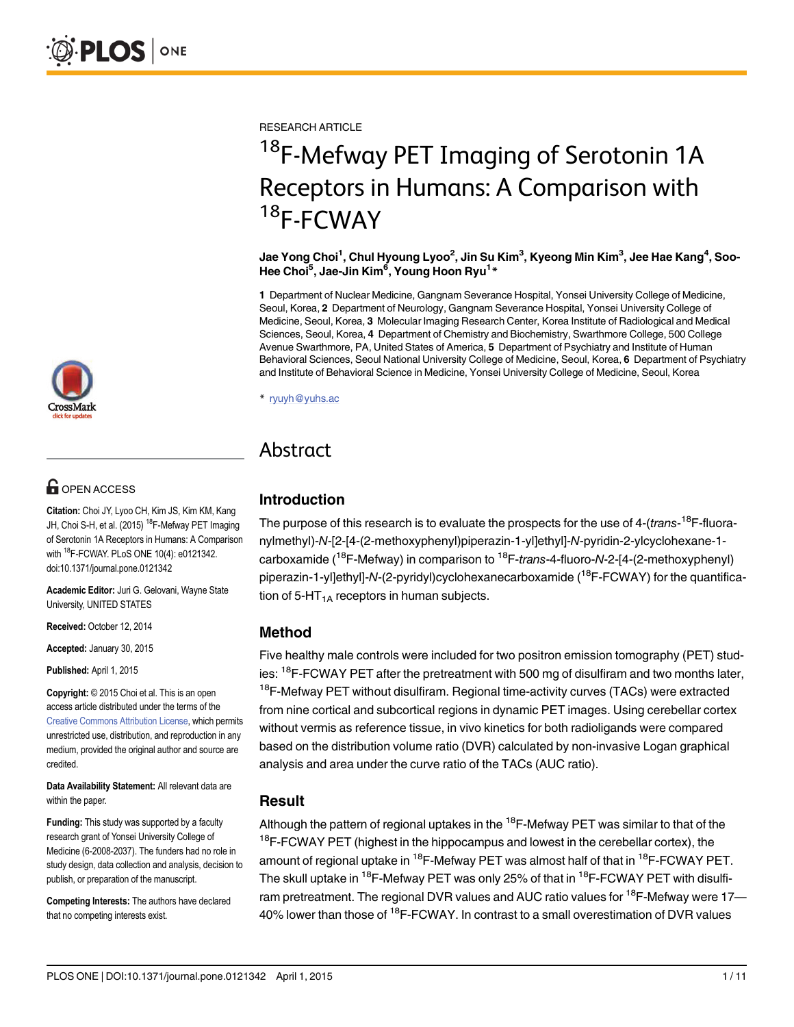

# **G** OPEN ACCESS

Citation: Choi JY, Lyoo CH, Kim JS, Kim KM, Kang JH, Choi S-H, et al. (2015) <sup>18</sup>F-Mefway PET Imaging of Serotonin 1A Receptors in Humans: A Comparison with 18F-FCWAY. PLoS ONE 10(4): e0121342. doi:10.1371/journal.pone.0121342

Academic Editor: Juri G. Gelovani, Wayne State University, UNITED STATES

Received: October 12, 2014

Accepted: January 30, 2015

Published: April 1, 2015

Copyright: © 2015 Choi et al. This is an open access article distributed under the terms of the [Creative Commons Attribution License,](http://creativecommons.org/licenses/by/4.0/) which permits unrestricted use, distribution, and reproduction in any medium, provided the original author and source are credited.

Data Availability Statement: All relevant data are within the paper.

Funding: This study was supported by a faculty research grant of Yonsei University College of Medicine (6-2008-2037). The funders had no role in study design, data collection and analysis, decision to publish, or preparation of the manuscript.

Competing Interests: The authors have declared that no competing interests exist.

RESEARCH ARTICLE

# <sup>18</sup>F-Mefway PET Imaging of Serotonin 1A<br>Receptors in Humans: A Comparison with  $R^2$ Receptors in Humans: A Comparison with  $\frac{18}{18}$  $T$ -FCWAY

Jae Yong Choi<sup>1</sup>, Chul Hyoung Lyoo<sup>2</sup>, Jin Su Kim<sup>3</sup>, Kyeong Min Kim<sup>3</sup>, Jee Hae Kang<sup>4</sup>, Soo-Hee Choi<sup>5</sup>, Jae-Jin Kim<sup>6</sup>, Young Hoon Ryu<sup>1\*</sup>

1 Department of Nuclear Medicine, Gangnam Severance Hospital, Yonsei University College of Medicine, Seoul, Korea, 2 Department of Neurology, Gangnam Severance Hospital, Yonsei University College of Medicine, Seoul, Korea, 3 Molecular Imaging Research Center, Korea Institute of Radiological and Medical Sciences, Seoul, Korea, 4 Department of Chemistry and Biochemistry, Swarthmore College, 500 College Avenue Swarthmore, PA, United States of America, 5 Department of Psychiatry and Institute of Human Behavioral Sciences, Seoul National University College of Medicine, Seoul, Korea, 6 Department of Psychiatry and Institute of Behavioral Science in Medicine, Yonsei University College of Medicine, Seoul, Korea

\* ryuyh@yuhs.ac

# Abstract Abstract

# Introduction

The purpose of this research is to evaluate the prospects for the use of 4-(trans-<sup>18</sup>F-fluoranylmethyl)-N-[2-[4-(2-methoxyphenyl)piperazin-1-yl]ethyl]-N-pyridin-2-ylcyclohexane-1 carboxamide ( $18$ F-Mefway) in comparison to  $18$ F-trans-4-fluoro-N-2-[4-(2-methoxyphenyl) piperazin-1-yl]ethyl]-N-(2-pyridyl)cyclohexanecarboxamide (<sup>18</sup>F-FCWAY) for the quantification of 5-HT<sub>1A</sub> receptors in human subjects.

## Method

Five healthy male controls were included for two positron emission tomography (PET) studies: <sup>18</sup>F-FCWAY PET after the pretreatment with 500 mg of disulfiram and two months later, <sup>18</sup>F-Mefway PET without disulfiram. Regional time-activity curves (TACs) were extracted from nine cortical and subcortical regions in dynamic PET images. Using cerebellar cortex without vermis as reference tissue, in vivo kinetics for both radioligands were compared based on the distribution volume ratio (DVR) calculated by non-invasive Logan graphical analysis and area under the curve ratio of the TACs (AUC ratio).

# Result

Although the pattern of regional uptakes in the  $18$ F-Mefway PET was similar to that of the <sup>18</sup>F-FCWAY PET (highest in the hippocampus and lowest in the cerebellar cortex), the amount of regional uptake in  $^{18}$ F-Mefway PET was almost half of that in  $^{18}$ F-FCWAY PET. The skull uptake in <sup>18</sup>F-Mefway PET was only 25% of that in <sup>18</sup>F-FCWAY PET with disulfiram pretreatment. The regional DVR values and AUC ratio values for  $18F$ -Mefway were 17-40% lower than those of 18F-FCWAY. In contrast to a small overestimation of DVR values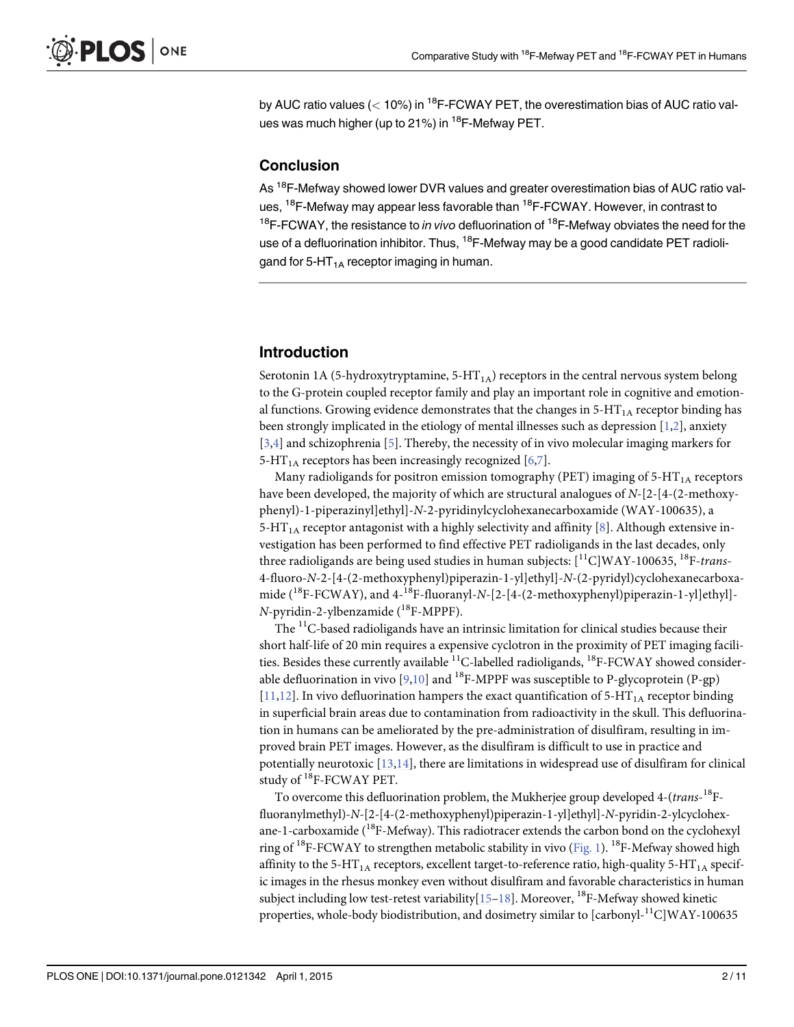<span id="page-1-0"></span>by AUC ratio values ( $<$  10%) in <sup>18</sup>F-FCWAY PET, the overestimation bias of AUC ratio values was much higher (up to 21%) in <sup>18</sup>F-Mefway PET.

#### **Conclusion**

As <sup>18</sup>F-Mefway showed lower DVR values and greater overestimation bias of AUC ratio values, <sup>18</sup>F-Mefway may appear less favorable than <sup>18</sup>F-FCWAY. However, in contrast to  $18$ F-FCWAY, the resistance to *in vivo* defluorination of  $18$ F-Mefway obviates the need for the use of a defluorination inhibitor. Thus, <sup>18</sup>F-Mefway may be a good candidate PET radioligand for 5-HT<sub>1A</sub> receptor imaging in human.

## Introduction

Serotonin 1A (5-hydroxytryptamine,  $5-HT<sub>1A</sub>$ ) receptors in the central nervous system belong to the G-protein coupled receptor family and play an important role in cognitive and emotional functions. Growing evidence demonstrates that the changes in  $5-HT<sub>1A</sub>$  receptor binding has been strongly implicated in the etiology of mental illnesses such as depression  $[1,2]$ , anxiety [\[3,4](#page-9-0)] and schizophrenia [\[5](#page-9-0)]. Thereby, the necessity of in vivo molecular imaging markers for 5-HT<sub>1A</sub> receptors has been increasingly recognized  $[6,7]$  $[6,7]$ .

Many radioligands for positron emission tomography (PET) imaging of  $5-HT<sub>1A</sub>$  receptors have been developed, the majority of which are structural analogues of N-[2-[4-(2-methoxyphenyl)-1-piperazinyl]ethyl]-N-2-pyridinylcyclohexanecarboxamide (WAY-100635), a 5-HT<sub>1A</sub> receptor antagonist with a highly selectivity and affinity [\[8](#page-9-0)]. Although extensive investigation has been performed to find effective PET radioligands in the last decades, only three radioligands are being used studies in human subjects:  $[^{11}\mathrm{C}]\mathrm{WAY}$ -100635,  $^{18}\mathrm{F}$ -trans-4-fluoro-N-2-[4-(2-methoxyphenyl)piperazin-1-yl]ethyl]-N-(2-pyridyl)cyclohexanecarboxamide  $(^{18}F-FCWAY)$ , and  $4-^{18}F-fluoranyl-N-[2-[4-(2-methoxyphenyl)piperazin-1-vl]ethyl]$ - $N$ -pyridin-2-ylbenzamide ( $^{18}$ F-MPPF).

The  ${}^{11}$ C-based radioligands have an intrinsic limitation for clinical studies because their short half-life of 20 min requires a expensive cyclotron in the proximity of PET imaging facilities. Besides these currently available  ${}^{11}$ C-labelled radioligands,  ${}^{18}$ F-FCWAY showed considerable defluorination in vivo  $[9,10]$  $[9,10]$  and <sup>18</sup>F-MPPF was susceptible to P-glycoprotein (P-gp)  $[11,12]$  $[11,12]$ . In vivo defluorination hampers the exact quantification of 5-HT<sub>1A</sub> receptor binding in superficial brain areas due to contamination from radioactivity in the skull. This defluorination in humans can be ameliorated by the pre-administration of disulfiram, resulting in improved brain PET images. However, as the disulfiram is difficult to use in practice and potentially neurotoxic  $[13,14]$  $[13,14]$  $[13,14]$ , there are limitations in widespread use of disulfiram for clinical study of <sup>18</sup>F-FCWAY PET.

To overcome this defluorination problem, the Mukherjee group developed 4-(trans-<sup>18</sup>Ffluoranylmethyl)-N-[2-[4-(2-methoxyphenyl)piperazin-1-yl]ethyl]-N-pyridin-2-ylcyclohexane-1-carboxamide ( $^{18}$ F-Mefway). This radiotracer extends the carbon bond on the cyclohexyl ring of <sup>18</sup>F-FCWAY to strengthen metabolic stability in vivo [\(Fig. 1\)](#page-2-0). <sup>18</sup>F-Mefway showed high affinity to the 5-HT<sub>1A</sub> receptors, excellent target-to-reference ratio, high-quality 5-HT<sub>1A</sub> specific images in the rhesus monkey even without disulfiram and favorable characteristics in human subject including low test-retest variability $[15-18]$  $[15-18]$  $[15-18]$  $[15-18]$ . Moreover, <sup>18</sup>F-Mefway showed kinetic properties, whole-body biodistribution, and dosimetry similar to [carbonyl-11C]WAY-100635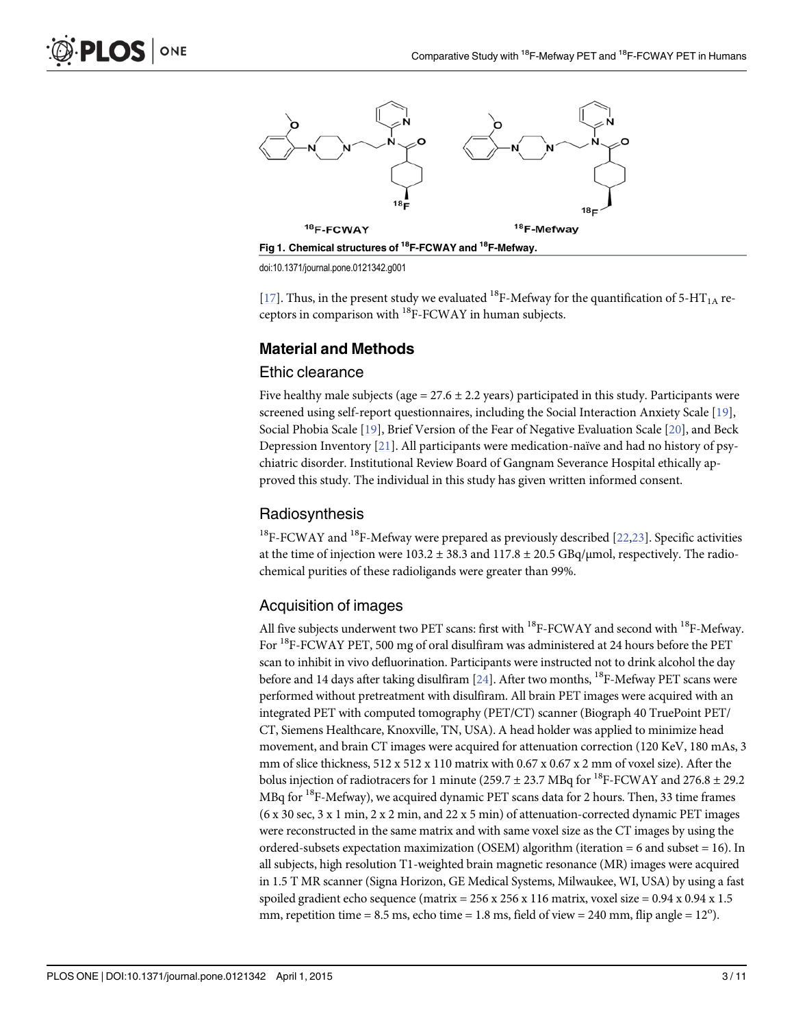<span id="page-2-0"></span>



[\[17\]](#page-9-0). Thus, in the present study we evaluated <sup>18</sup>F-Mefway for the quantification of 5-HT<sub>1A</sub> receptors in comparison with 18F-FCWAY in human subjects.

# Material and Methods

#### Ethic clearance

Five healthy male subjects (age =  $27.6 \pm 2.2$  years) participated in this study. Participants were screened using self-report questionnaires, including the Social Interaction Anxiety Scale [\[19\]](#page-10-0), Social Phobia Scale [\[19\]](#page-10-0), Brief Version of the Fear of Negative Evaluation Scale [[20\]](#page-10-0), and Beck Depression Inventory [[21](#page-10-0)]. All participants were medication-naïve and had no history of psychiatric disorder. Institutional Review Board of Gangnam Severance Hospital ethically approved this study. The individual in this study has given written informed consent.

## Radiosynthesis

<sup>18</sup>F-FCWAY and <sup>18</sup>F-Mefway were prepared as previously described [ $22,23$  $22,23$  $22,23$ ]. Specific activities at the time of injection were  $103.2 \pm 38.3$  and  $117.8 \pm 20.5$  GBq/µmol, respectively. The radiochemical purities of these radioligands were greater than 99%.

# Acquisition of images

All five subjects underwent two PET scans: first with  $^{18}$ F-FCWAY and second with  $^{18}$ F-Mefway. For <sup>18</sup>F-FCWAY PET, 500 mg of oral disulfiram was administered at 24 hours before the PET scan to inhibit in vivo defluorination. Participants were instructed not to drink alcohol the day before and 14 days after taking disulfiram [[24](#page-10-0)]. After two months,  $^{18}$ F-Mefway PET scans were performed without pretreatment with disulfiram. All brain PET images were acquired with an integrated PET with computed tomography (PET/CT) scanner (Biograph 40 TruePoint PET/ CT, Siemens Healthcare, Knoxville, TN, USA). A head holder was applied to minimize head movement, and brain CT images were acquired for attenuation correction (120 KeV, 180 mAs, 3 mm of slice thickness, 512 x 512 x 110 matrix with 0.67 x 0.67 x 2 mm of voxel size). After the bolus injection of radiotracers for 1 minute (259.7  $\pm$  23.7 MBq for <sup>18</sup>F-FCWAY and 276.8  $\pm$  29.2 MBq for <sup>18</sup>F-Mefway), we acquired dynamic PET scans data for 2 hours. Then, 33 time frames (6 x 30 sec, 3 x 1 min, 2 x 2 min, and 22 x 5 min) of attenuation-corrected dynamic PET images were reconstructed in the same matrix and with same voxel size as the CT images by using the ordered-subsets expectation maximization (OSEM) algorithm (iteration = 6 and subset = 16). In all subjects, high resolution T1-weighted brain magnetic resonance (MR) images were acquired in 1.5 T MR scanner (Signa Horizon, GE Medical Systems, Milwaukee, WI, USA) by using a fast spoiled gradient echo sequence (matrix =  $256 \times 256 \times 116$  matrix, voxel size =  $0.94 \times 0.94 \times 1.5$ mm, repetition time =  $8.5$  ms, echo time =  $1.8$  ms, field of view =  $240$  mm, flip angle =  $12^{\circ}$ ).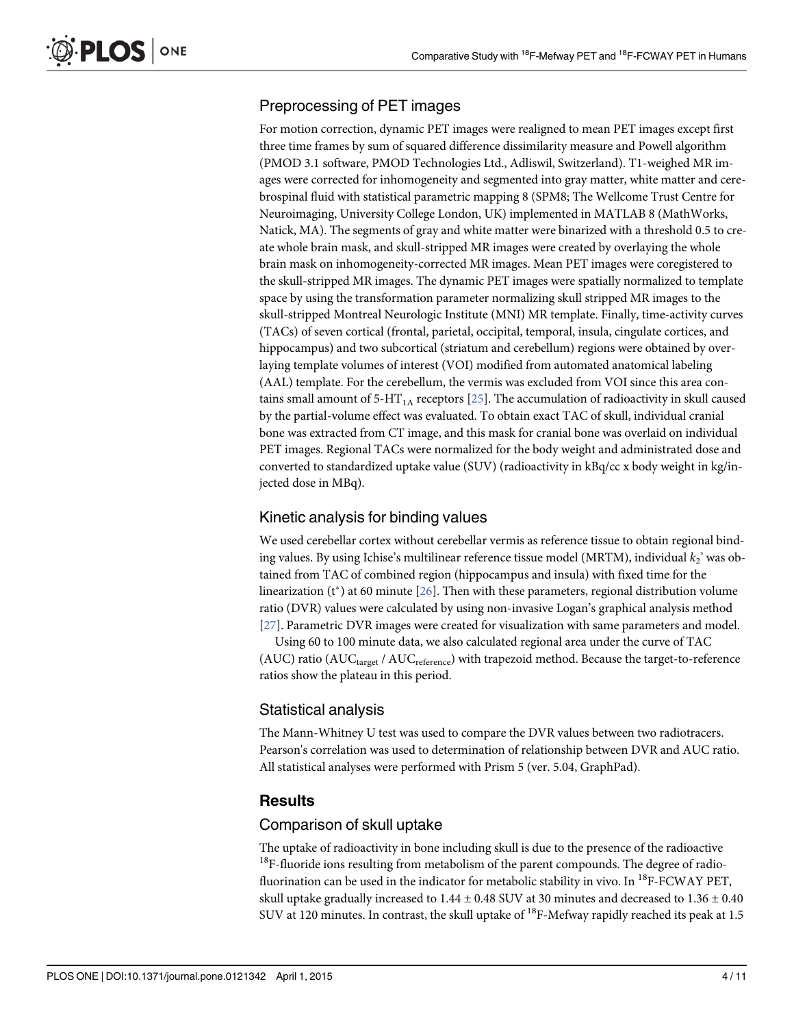# <span id="page-3-0"></span>Preprocessing of PET images

For motion correction, dynamic PET images were realigned to mean PET images except first three time frames by sum of squared difference dissimilarity measure and Powell algorithm (PMOD 3.1 software, PMOD Technologies Ltd., Adliswil, Switzerland). T1-weighed MR images were corrected for inhomogeneity and segmented into gray matter, white matter and cerebrospinal fluid with statistical parametric mapping 8 (SPM8; The Wellcome Trust Centre for Neuroimaging, University College London, UK) implemented in MATLAB 8 (MathWorks, Natick, MA). The segments of gray and white matter were binarized with a threshold 0.5 to create whole brain mask, and skull-stripped MR images were created by overlaying the whole brain mask on inhomogeneity-corrected MR images. Mean PET images were coregistered to the skull-stripped MR images. The dynamic PET images were spatially normalized to template space by using the transformation parameter normalizing skull stripped MR images to the skull-stripped Montreal Neurologic Institute (MNI) MR template. Finally, time-activity curves (TACs) of seven cortical (frontal, parietal, occipital, temporal, insula, cingulate cortices, and hippocampus) and two subcortical (striatum and cerebellum) regions were obtained by overlaying template volumes of interest (VOI) modified from automated anatomical labeling (AAL) template. For the cerebellum, the vermis was excluded from VOI since this area con-tains small amount of 5-HT<sub>1A</sub> receptors [[25](#page-10-0)]. The accumulation of radioactivity in skull caused by the partial-volume effect was evaluated. To obtain exact TAC of skull, individual cranial bone was extracted from CT image, and this mask for cranial bone was overlaid on individual PET images. Regional TACs were normalized for the body weight and administrated dose and converted to standardized uptake value (SUV) (radioactivity in kBq/cc x body weight in kg/injected dose in MBq).

# Kinetic analysis for binding values

We used cerebellar cortex without cerebellar vermis as reference tissue to obtain regional binding values. By using Ichise's multilinear reference tissue model (MRTM), individual  $k<sub>2</sub>$ ' was obtained from TAC of combined region (hippocampus and insula) with fixed time for the linearization ( $t^*$ ) at 60 minute [ $26$ ]. Then with these parameters, regional distribution volume ratio (DVR) values were calculated by using non-invasive Logan's graphical analysis method [\[27](#page-10-0)]. Parametric DVR images were created for visualization with same parameters and model.

Using 60 to 100 minute data, we also calculated regional area under the curve of TAC (AUC) ratio ( $AUC_{\text{target}}$  /  $AUC_{\text{reference}}$ ) with trapezoid method. Because the target-to-reference ratios show the plateau in this period.

# Statistical analysis

The Mann-Whitney U test was used to compare the DVR values between two radiotracers. Pearson's correlation was used to determination of relationship between DVR and AUC ratio. All statistical analyses were performed with Prism 5 (ver. 5.04, GraphPad).

# **Results**

# Comparison of skull uptake

The uptake of radioactivity in bone including skull is due to the presence of the radioactive  $18F$ -fluoride ions resulting from metabolism of the parent compounds. The degree of radiofluorination can be used in the indicator for metabolic stability in vivo. In  $^{18}$ F-FCWAY PET, skull uptake gradually increased to  $1.44 \pm 0.48$  SUV at 30 minutes and decreased to  $1.36 \pm 0.40$ SUV at 120 minutes. In contrast, the skull uptake of <sup>18</sup>F-Mefway rapidly reached its peak at 1.5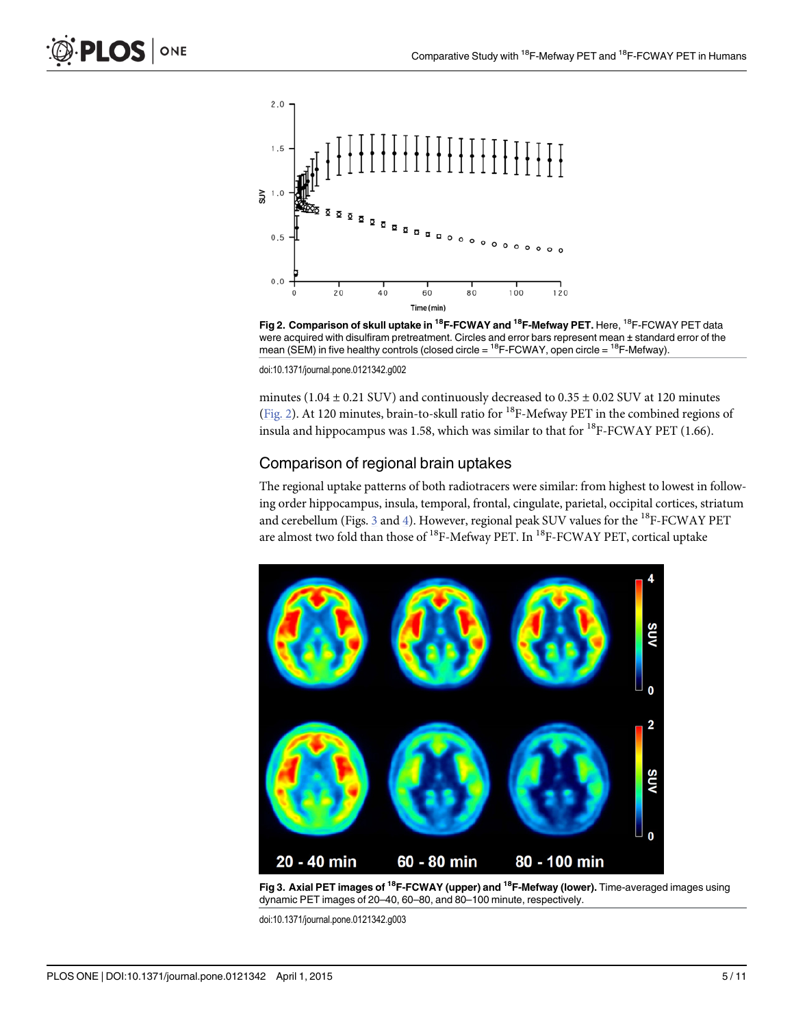<span id="page-4-0"></span>

Fig 2. Comparison of skull uptake in <sup>18</sup>F-FCWAY and <sup>18</sup>F-Mefway PET. Here, <sup>18</sup>F-FCWAY PET data were acquired with disulfiram pretreatment. Circles and error bars represent mean ± standard error of the mean (SEM) in five healthy controls (closed circle =  $^{18}$ F-FCWAY, open circle =  $^{18}$ F-Mefway).

minutes (1.04  $\pm$  0.21 SUV) and continuously decreased to 0.35  $\pm$  0.02 SUV at 120 minutes (Fig. 2). At 120 minutes, brain-to-skull ratio for <sup>18</sup>F-Mefway PET in the combined regions of insula and hippocampus was 1.58, which was similar to that for  $^{18}$ F-FCWAY PET (1.66).

#### Comparison of regional brain uptakes

The regional uptake patterns of both radiotracers were similar: from highest to lowest in following order hippocampus, insula, temporal, frontal, cingulate, parietal, occipital cortices, striatum and cerebellum (Figs.  $\frac{3}{2}$  and  $\frac{4}{2}$  $\frac{4}{2}$  $\frac{4}{2}$ ). However, regional peak SUV values for the <sup>18</sup>F-FCWAY PET are almost two fold than those of <sup>18</sup>F-Mefway PET. In <sup>18</sup>F-FCWAY PET, cortical uptake



Fig 3. Axial PET images of <sup>18</sup>F-FCWAY (upper) and <sup>18</sup>F-Mefway (lower). Time-averaged images using dynamic PET images of 20–40, 60–80, and 80–100 minute, respectively.

doi:10.1371/journal.pone.0121342.g003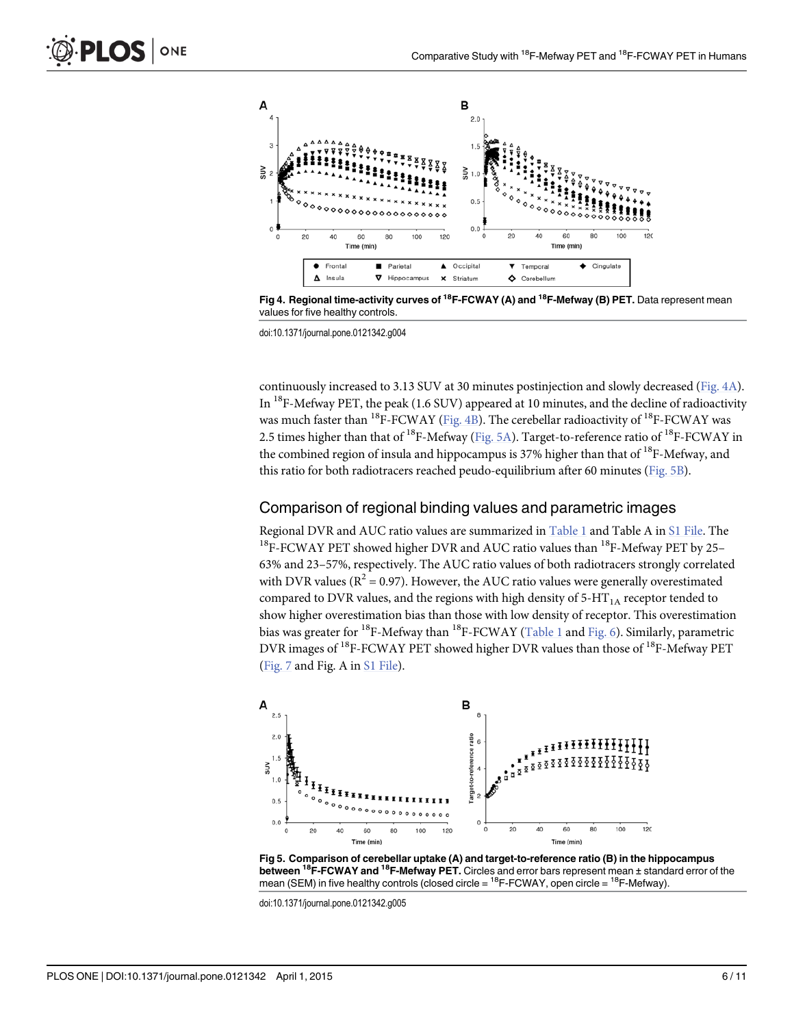<span id="page-5-0"></span>

[Fig 4. R](#page-4-0)egional time-activity curves of <sup>18</sup>F-FCWAY (A) and <sup>18</sup>F-Mefway (B) PET. Data represent mean values for five healthy controls.

continuously increased to 3.13 SUV at 30 minutes postinjection and slowly decreased (Fig. 4A). In  $^{18}$ F-Mefway PET, the peak (1.6 SUV) appeared at 10 minutes, and the decline of radioactivity was much faster than <sup>18</sup>F-FCWAY (Fig. 4B). The cerebellar radioactivity of <sup>18</sup>F-FCWAY was 2.5 times higher than that of <sup>18</sup>F-Mefway (Fig. 5A). Target-to-reference ratio of <sup>18</sup>F-FCWAY in the combined region of insula and hippocampus is 37% higher than that of  $^{18}$ F-Mefway, and this ratio for both radiotracers reached peudo-equilibrium after 60 minutes (Fig. 5B).

#### Comparison of regional binding values and parametric images

Regional DVR and AUC ratio values are summarized in [Table 1](#page-6-0) and Table A in [S1 File](#page-8-0). The <sup>18</sup>F-FCWAY PET showed higher DVR and AUC ratio values than <sup>18</sup>F-Mefway PET by 25– 63% and 23–57%, respectively. The AUC ratio values of both radiotracers strongly correlated with DVR values ( $R^2 = 0.97$ ). However, the AUC ratio values were generally overestimated compared to DVR values, and the regions with high density of  $5-HT<sub>1A</sub>$  receptor tended to show higher overestimation bias than those with low density of receptor. This overestimation bias was greater for <sup>18</sup>F-Mefway than <sup>18</sup>F-FCWAY ([Table 1](#page-6-0) and [Fig. 6](#page-6-0)). Similarly, parametric DVR images of <sup>18</sup>F-FCWAY PET showed higher DVR values than those of <sup>18</sup>F-Mefway PET [\(Fig. 7](#page-7-0) and Fig. A in [S1 File\)](#page-8-0).



Fig 5. Comparison of cerebellar uptake (A) and target-to-reference ratio (B) in the hippocampus between <sup>18</sup>F-FCWAY and <sup>18</sup>F-Mefway PET. Circles and error bars represent mean ± standard error of the mean (SEM) in five healthy controls (closed circle =  $^{18}$ F-FCWAY, open circle =  $^{18}$ F-Mefway).

doi:10.1371/journal.pone.0121342.g005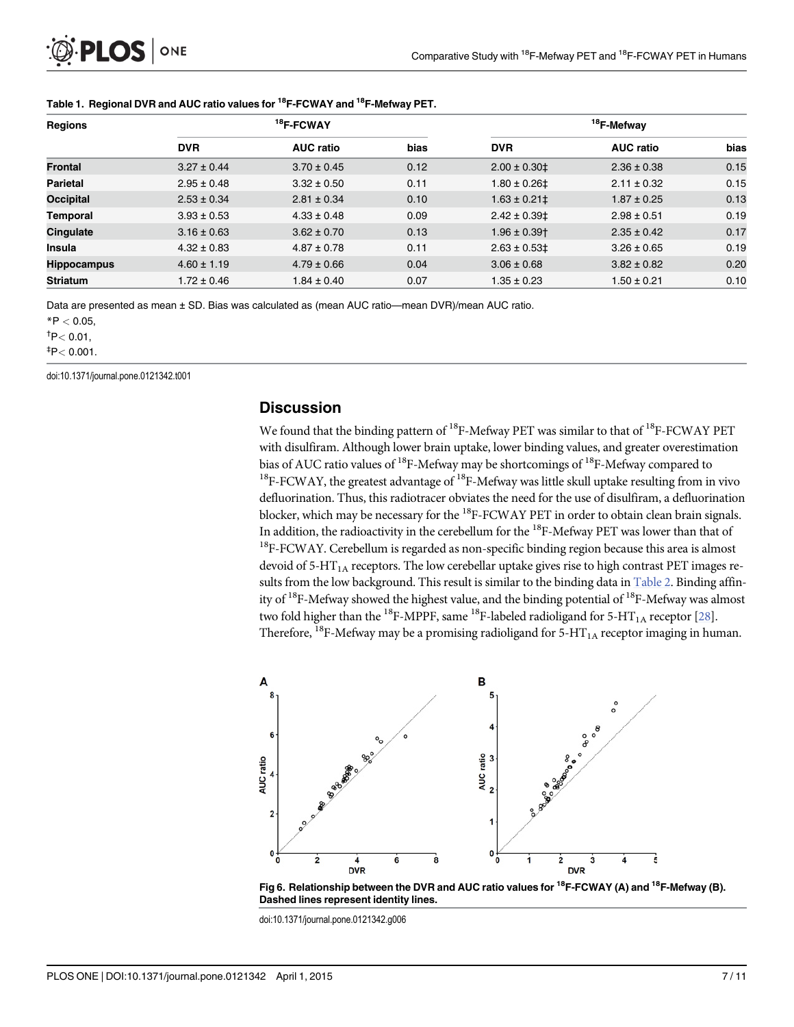<span id="page-6-0"></span>

| <b>Regions</b>     | $18$ F-FCWAY    |                  |      | <sup>18</sup> F-Mefway       |                  |      |  |
|--------------------|-----------------|------------------|------|------------------------------|------------------|------|--|
|                    | <b>DVR</b>      | <b>AUC ratio</b> | bias | <b>DVR</b>                   | <b>AUC ratio</b> | bias |  |
| <b>Frontal</b>     | $3.27 \pm 0.44$ | $3.70 \pm 0.45$  | 0.12 | $2.00 \pm 0.30 \pm 1$        | $2.36 \pm 0.38$  | 0.15 |  |
| <b>Parietal</b>    | $2.95 \pm 0.48$ | $3.32 \pm 0.50$  | 0.11 | $1.80 \pm 0.26$ ‡            | $2.11 \pm 0.32$  | 0.15 |  |
| Occipital          | $2.53 \pm 0.34$ | $2.81 \pm 0.34$  | 0.10 | $1.63 \pm 0.21$ ‡            | $1.87 \pm 0.25$  | 0.13 |  |
| <b>Temporal</b>    | $3.93 \pm 0.53$ | $4.33 \pm 0.48$  | 0.09 | $2.42 \pm 0.39$              | $2.98 \pm 0.51$  | 0.19 |  |
| Cingulate          | $3.16 \pm 0.63$ | $3.62 \pm 0.70$  | 0.13 | $1.96 \pm 0.39$ <sup>+</sup> | $2.35 \pm 0.42$  | 0.17 |  |
| <b>Insula</b>      | $4.32 \pm 0.83$ | $4.87 \pm 0.78$  | 0.11 | $2.63 \pm 0.53$ ‡            | $3.26 \pm 0.65$  | 0.19 |  |
| <b>Hippocampus</b> | $4.60 \pm 1.19$ | $4.79 \pm 0.66$  | 0.04 | $3.06 \pm 0.68$              | $3.82 \pm 0.82$  | 0.20 |  |
| <b>Striatum</b>    | $1.72 \pm 0.46$ | $1.84 \pm 0.40$  | 0.07 | 1.35 ± 0.23                  | $1.50 \pm 0.21$  | 0.10 |  |

#### [Table 1.](#page-5-0) Regional DVR and AUC ratio values for <sup>18</sup>F-FCWAY and <sup>18</sup>F-Mefway PET.

Data are presented as mean ± SD. Bias was calculated as (mean AUC ratio—mean DVR)/mean AUC ratio.

 $*P < 0.05$ ,

 $\text{^{\text{t}}}$ P $<$  0.01,

 $^{\ddagger}$ P $<$  0.001.

doi:10.1371/journal.pone.0121342.t001

#### **Discussion**

We found that the binding pattern of  ${}^{18}$ F-Mefway PET was similar to that of  ${}^{18}$ F-FCWAY PET with disulfiram. Although lower brain uptake, lower binding values, and greater overestimation bias of AUC ratio values of <sup>18</sup>F-Mefway may be shortcomings of <sup>18</sup>F-Mefway compared to  $18F-FCWAY$ , the greatest advantage of  $18F-Mefway$  was little skull uptake resulting from in vivo defluorination. Thus, this radiotracer obviates the need for the use of disulfiram, a defluorination blocker, which may be necessary for the <sup>18</sup>F-FCWAY PET in order to obtain clean brain signals. In addition, the radioactivity in the cerebellum for the 18F-Mefway PET was lower than that of <sup>18</sup>F-FCWAY. Cerebellum is regarded as non-specific binding region because this area is almost devoid of 5-HT<sub>1A</sub> receptors. The low cerebellar uptake gives rise to high contrast PET images re-sults from the low background. This result is similar to the binding data in [Table 2](#page-7-0). Binding affinity of  $18F$ -Mefway showed the highest value, and the binding potential of  $18F$ -Mefway was almost two fold higher than the <sup>18</sup>F-MPPF, same <sup>18</sup>F-labeled radioligand for 5-HT<sub>1A</sub> receptor [[28](#page-10-0)]. Therefore, <sup>18</sup>F-Mefway may be a promising radioligand for 5-HT<sub>1A</sub> receptor imaging in human.





doi:10.1371/journal.pone.0121342.g006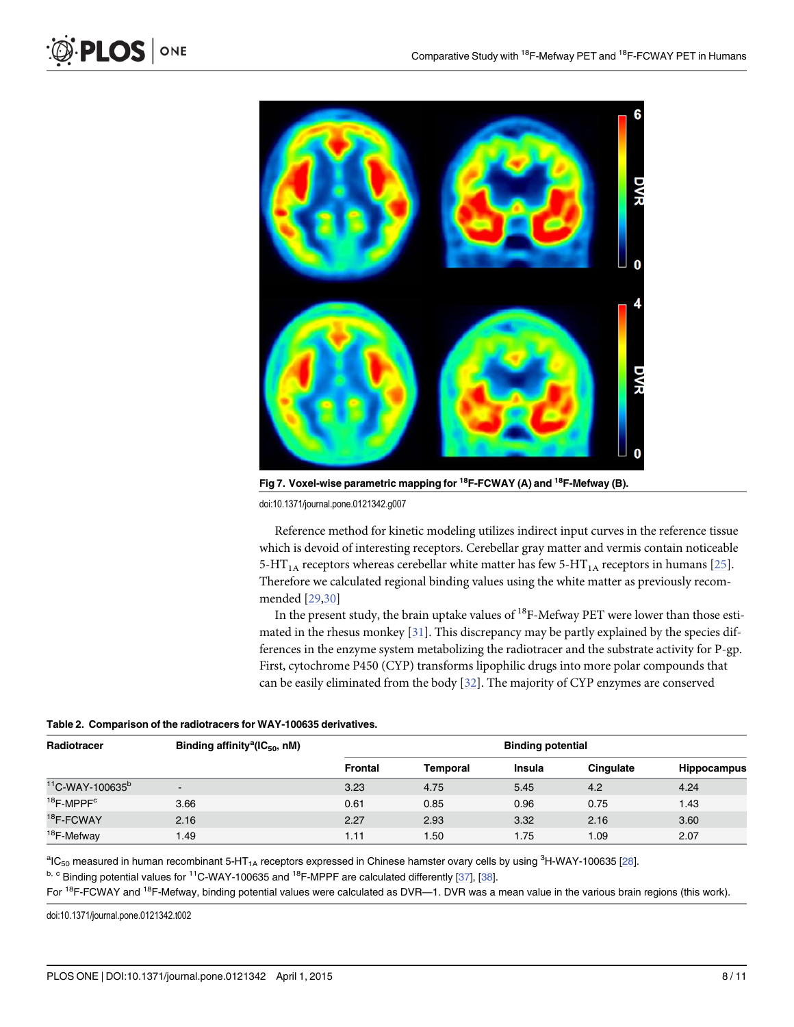

[Fig 7. V](#page-5-0)oxel-wise parametric mapping for  ${}^{18}$ F-FCWAY (A) and  ${}^{18}$ F-Mefway (B).

Reference method for kinetic modeling utilizes indirect input curves in the reference tissue which is devoid of interesting receptors. Cerebellar gray matter and vermis contain noticeable 5-HT<sub>1A</sub> receptors whereas cerebellar white matter has few 5-HT<sub>1A</sub> receptors in humans [\[25\]](#page-10-0). Therefore we calculated regional binding values using the white matter as previously recommended [[29,30](#page-10-0)]

In the present study, the brain uptake values of  $^{18}$ F-Mefway PET were lower than those estimated in the rhesus monkey  $[31]$  $[31]$  $[31]$ . This discrepancy may be partly explained by the species differences in the enzyme system metabolizing the radiotracer and the substrate activity for P-gp. First, cytochrome P450 (CYP) transforms lipophilic drugs into more polar compounds that can be easily eliminated from the body [\[32\]](#page-10-0). The majority of CYP enzymes are conserved

|  |  |  | Table 2. Comparison of the radiotracers for WAY-100635 derivatives. |
|--|--|--|---------------------------------------------------------------------|
|--|--|--|---------------------------------------------------------------------|

| Radiotracer                    | Binding affinity <sup>a</sup> ( $IC_{50}$ , nM) | <b>Binding potential</b> |          |               |           |             |
|--------------------------------|-------------------------------------------------|--------------------------|----------|---------------|-----------|-------------|
|                                |                                                 | Frontal                  | Temporal | <b>Insula</b> | Cinqulate | Hippocampus |
| $11$ C-WAY-100635 <sup>b</sup> | $\overline{\phantom{a}}$                        | 3.23                     | 4.75     | 5.45          | 4.2       | 4.24        |
| $18$ F-MPPF $\text{c}$         | 3.66                                            | 0.61                     | 0.85     | 0.96          | 0.75      | 1.43        |
| <sup>18</sup> F-FCWAY          | 2.16                                            | 2.27                     | 2.93     | 3.32          | 2.16      | 3.60        |
| <sup>18</sup> F-Mefway         | 1.49                                            | 1.11                     | 1.50     | 1.75          | 1.09      | 2.07        |

 $^{\rm a}$ IC<sub>50</sub> measured in human recombinant 5-HT<sub>1A</sub> receptors expressed in Chinese hamster ovary cells by using <sup>3</sup>H-WAY-100635 <u>[[28\]](#page-10-0)</u>.

 $b, c$  Binding potential values for <sup>11</sup>C-WAY-100635 and <sup>18</sup>F-MPPF are calculated differently [[37](#page-10-0)], [\[38](#page-10-0)].

For <sup>18</sup>F-FCWAY and <sup>18</sup>F-Mefway, binding potential values were calculated as DVR—1. DVR was a mean value in the various brain regions (this work).

doi:10.1371/journal.pone.0121342.t002

<span id="page-7-0"></span> $PLOS$  ONE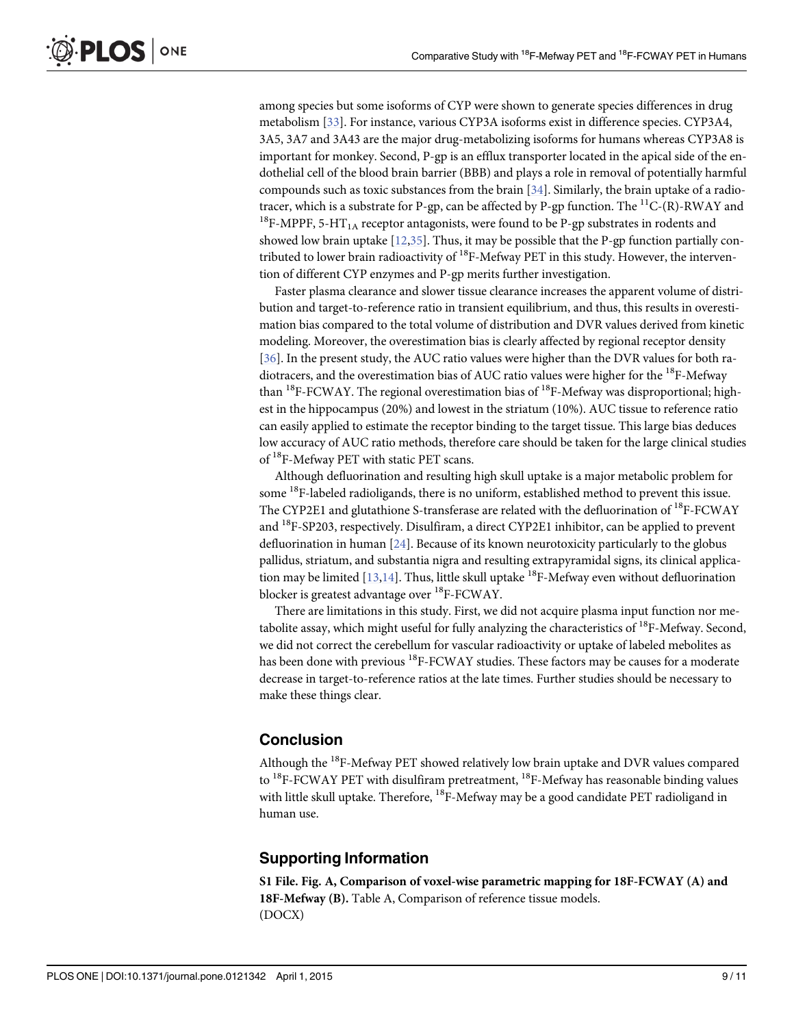<span id="page-8-0"></span>among species but some isoforms of CYP were shown to generate species differences in drug metabolism [\[33\]](#page-10-0). For instance, various CYP3A isoforms exist in difference species. CYP3A4, 3A5, 3A7 and 3A43 are the major drug-metabolizing isoforms for humans whereas CYP3A8 is important for monkey. Second, P-gp is an efflux transporter located in the apical side of the endothelial cell of the blood brain barrier (BBB) and plays a role in removal of potentially harmful compounds such as toxic substances from the brain  $[34]$  $[34]$  $[34]$ . Similarly, the brain uptake of a radiotracer, which is a substrate for P-gp, can be affected by P-gp function. The  ${}^{11}C-(R)$ -RWAY and <sup>18</sup>F-MPPF, 5-HT<sub>1A</sub> receptor antagonists, were found to be P-gp substrates in rodents and showed low brain uptake  $[12,35]$  $[12,35]$  $[12,35]$ . Thus, it may be possible that the P-gp function partially contributed to lower brain radioactivity of  ${}^{18}$ F-Mefway PET in this study. However, the intervention of different CYP enzymes and P-gp merits further investigation.

Faster plasma clearance and slower tissue clearance increases the apparent volume of distribution and target-to-reference ratio in transient equilibrium, and thus, this results in overestimation bias compared to the total volume of distribution and DVR values derived from kinetic modeling. Moreover, the overestimation bias is clearly affected by regional receptor density [\[36](#page-10-0)]. In the present study, the AUC ratio values were higher than the DVR values for both radiotracers, and the overestimation bias of AUC ratio values were higher for the  $^{18}$ F-Mefway than <sup>18</sup>F-FCWAY. The regional overestimation bias of <sup>18</sup>F-Mefway was disproportional; highest in the hippocampus (20%) and lowest in the striatum (10%). AUC tissue to reference ratio can easily applied to estimate the receptor binding to the target tissue. This large bias deduces low accuracy of AUC ratio methods, therefore care should be taken for the large clinical studies of <sup>18</sup>F-Mefway PET with static PET scans.

Although defluorination and resulting high skull uptake is a major metabolic problem for some <sup>18</sup>F-labeled radioligands, there is no uniform, established method to prevent this issue. The CYP2E1 and glutathione S-transferase are related with the defluorination of <sup>18</sup>F-FCWAY and 18F-SP203, respectively. Disulfiram, a direct CYP2E1 inhibitor, can be applied to prevent defluorination in human [[24](#page-10-0)]. Because of its known neurotoxicity particularly to the globus pallidus, striatum, and substantia nigra and resulting extrapyramidal signs, its clinical application may be limited  $[13,14]$  $[13,14]$  $[13,14]$  $[13,14]$  $[13,14]$ . Thus, little skull uptake <sup>18</sup>F-Mefway even without defluorination blocker is greatest advantage over <sup>18</sup>F-FCWAY.

There are limitations in this study. First, we did not acquire plasma input function nor metabolite assay, which might useful for fully analyzing the characteristics of  $^{18}$ F-Mefway. Second, we did not correct the cerebellum for vascular radioactivity or uptake of labeled mebolites as has been done with previous <sup>18</sup>F-FCWAY studies. These factors may be causes for a moderate decrease in target-to-reference ratios at the late times. Further studies should be necessary to make these things clear.

## Conclusion

Although the <sup>18</sup>F-Mefway PET showed relatively low brain uptake and DVR values compared to  $^{18}$ F-FCWAY PET with disulfiram pretreatment,  $^{18}$ F-Mefway has reasonable binding values with little skull uptake. Therefore, <sup>18</sup>F-Mefway may be a good candidate PET radioligand in human use.

## Supporting Information

[S1 File.](http://www.plosone.org/article/fetchSingleRepresentation.action?uri=info:doi/10.1371/journal.pone.0121342.s001) Fig. A, Comparison of voxel-wise parametric mapping for 18F-FCWAY (A) and 18F-Mefway (B). Table A, Comparison of reference tissue models. (DOCX)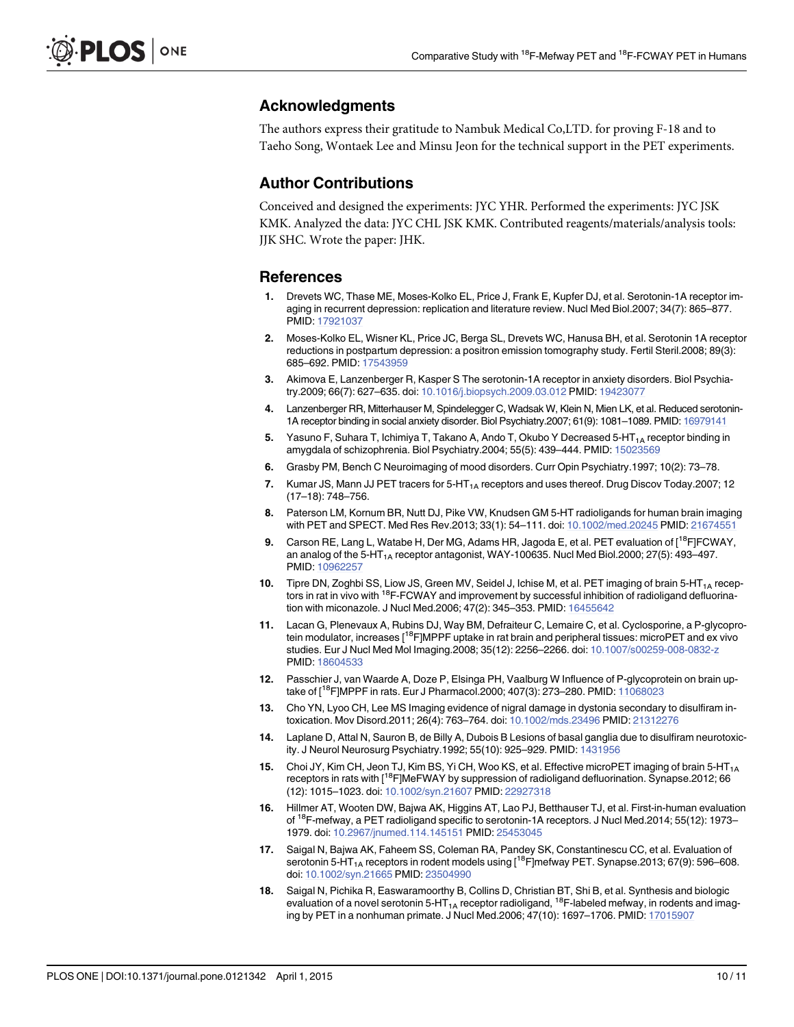# <span id="page-9-0"></span>Acknowledgments

The authors express their gratitude to Nambuk Medical Co,LTD. for proving F-18 and to Taeho Song, Wontaek Lee and Minsu Jeon for the technical support in the PET experiments.

# Author Contributions

Conceived and designed the experiments: JYC YHR. Performed the experiments: JYC JSK KMK. Analyzed the data: JYC CHL JSK KMK. Contributed reagents/materials/analysis tools: JJK SHC. Wrote the paper: JHK.

## References

- [1.](#page-1-0) Drevets WC, Thase ME, Moses-Kolko EL, Price J, Frank E, Kupfer DJ, et al. Serotonin-1A receptor imaging in recurrent depression: replication and literature review. Nucl Med Biol.2007; 34(7): 865–877. PMID: [17921037](http://www.ncbi.nlm.nih.gov/pubmed/17921037)
- [2.](#page-1-0) Moses-Kolko EL, Wisner KL, Price JC, Berga SL, Drevets WC, Hanusa BH, et al. Serotonin 1A receptor reductions in postpartum depression: a positron emission tomography study. Fertil Steril.2008; 89(3): 685–692. PMID: [17543959](http://www.ncbi.nlm.nih.gov/pubmed/17543959)
- [3.](#page-1-0) Akimova E, Lanzenberger R, Kasper S The serotonin-1A receptor in anxiety disorders. Biol Psychiatry.2009; 66(7): 627–635. doi: [10.1016/j.biopsych.2009.03.012](http://dx.doi.org/10.1016/j.biopsych.2009.03.012) PMID: [19423077](http://www.ncbi.nlm.nih.gov/pubmed/19423077)
- [4.](#page-1-0) Lanzenberger RR, Mitterhauser M, Spindelegger C, Wadsak W, Klein N, Mien LK, et al. Reduced serotonin-1A receptor binding in social anxiety disorder. Biol Psychiatry.2007; 61(9): 1081–1089. PMID: [16979141](http://www.ncbi.nlm.nih.gov/pubmed/16979141)
- [5.](#page-1-0) Yasuno F, Suhara T, Ichimiya T, Takano A, Ando T, Okubo Y Decreased 5-HT<sub>1A</sub> receptor binding in amygdala of schizophrenia. Biol Psychiatry.2004; 55(5): 439-444. PMID: [15023569](http://www.ncbi.nlm.nih.gov/pubmed/15023569)
- [6.](#page-1-0) Grasby PM, Bench C Neuroimaging of mood disorders. Curr Opin Psychiatry.1997; 10(2): 73–78.
- [7.](#page-1-0) Kumar JS, Mann JJ PET tracers for 5-HT<sub>1A</sub> receptors and uses thereof. Drug Discov Today.2007; 12 (17–18): 748–756.
- [8.](#page-1-0) Paterson LM, Kornum BR, Nutt DJ, Pike VW, Knudsen GM 5-HT radioligands for human brain imaging with PET and SPECT. Med Res Rev.2013; 33(1): 54–111. doi: [10.1002/med.20245](http://dx.doi.org/10.1002/med.20245) PMID: [21674551](http://www.ncbi.nlm.nih.gov/pubmed/21674551)
- [9.](#page-1-0) Carson RE, Lang L, Watabe H, Der MG, Adams HR, Jagoda E, et al. PET evaluation of [<sup>18</sup>F]FCWAY, an analog of the  $5$ -HT<sub>1A</sub> receptor antagonist, WAY-100635. Nucl Med Biol.2000; 27(5): 493–497. PMID: [10962257](http://www.ncbi.nlm.nih.gov/pubmed/10962257)
- [10.](#page-1-0) Tipre DN, Zoghbi SS, Liow JS, Green MV, Seidel J, Ichise M, et al. PET imaging of brain 5-HT<sub>1A</sub> receptors in rat in vivo with <sup>18</sup>F-FCWAY and improvement by successful inhibition of radioligand defluorination with miconazole. J Nucl Med.2006; 47(2): 345–353. PMID: [16455642](http://www.ncbi.nlm.nih.gov/pubmed/16455642)
- [11.](#page-1-0) Lacan G, Plenevaux A, Rubins DJ, Way BM, Defraiteur C, Lemaire C, et al. Cyclosporine, a P-glycoprotein modulator, increases [<sup>18</sup>F]MPPF uptake in rat brain and peripheral tissues: microPET and ex vivo studies. Eur J Nucl Med Mol Imaging.2008; 35(12): 2256–2266. doi: [10.1007/s00259-008-0832-z](http://dx.doi.org/10.1007/s00259-008-0832-z) PMID: [18604533](http://www.ncbi.nlm.nih.gov/pubmed/18604533)
- [12.](#page-1-0) Passchier J, van Waarde A, Doze P, Elsinga PH, Vaalburg W Influence of P-glycoprotein on brain up-take of [<sup>18</sup>F]MPPF in rats. Eur J Pharmacol.2000; 407(3): 273–280. PMID: [11068023](http://www.ncbi.nlm.nih.gov/pubmed/11068023)
- [13.](#page-1-0) Cho YN, Lyoo CH, Lee MS Imaging evidence of nigral damage in dystonia secondary to disulfiram intoxication. Mov Disord.2011; 26(4): 763–764. doi: [10.1002/mds.23496](http://dx.doi.org/10.1002/mds.23496) PMID: [21312276](http://www.ncbi.nlm.nih.gov/pubmed/21312276)
- [14.](#page-1-0) Laplane D, Attal N, Sauron B, de Billy A, Dubois B Lesions of basal ganglia due to disulfiram neurotoxic-ity. J Neurol Neurosurg Psychiatry.1992; 55(10): 925-929. PMID: [1431956](http://www.ncbi.nlm.nih.gov/pubmed/1431956)
- [15.](#page-1-0) Choi JY, Kim CH, Jeon TJ, Kim BS, Yi CH, Woo KS, et al. Effective microPET imaging of brain 5-HT<sub>1A</sub> receptors in rats with [<sup>18</sup>F]MeFWAY by suppression of radioligand defluorination. Synapse.2012; 66 (12): 1015–1023. doi: [10.1002/syn.21607](http://dx.doi.org/10.1002/syn.21607) PMID: [22927318](http://www.ncbi.nlm.nih.gov/pubmed/22927318)
- 16. Hillmer AT, Wooten DW, Bajwa AK, Higgins AT, Lao PJ, Betthauser TJ, et al. First-in-human evaluation of 18F-mefway, a PET radioligand specific to serotonin-1A receptors. J Nucl Med.2014; 55(12): 1973– 1979. doi: [10.2967/jnumed.114.145151](http://dx.doi.org/10.2967/jnumed.114.145151) PMID: [25453045](http://www.ncbi.nlm.nih.gov/pubmed/25453045)
- [17.](#page-1-0) Saigal N, Bajwa AK, Faheem SS, Coleman RA, Pandey SK, Constantinescu CC, et al. Evaluation of serotonin 5-HT<sub>1A</sub> receptors in rodent models using  $[^{18}F]$ mefway PET. Synapse.2013; 67(9): 596–608. doi: [10.1002/syn.21665](http://dx.doi.org/10.1002/syn.21665) PMID: [23504990](http://www.ncbi.nlm.nih.gov/pubmed/23504990)
- [18.](#page-1-0) Saigal N, Pichika R, Easwaramoorthy B, Collins D, Christian BT, Shi B, et al. Synthesis and biologic evaluation of a novel serotonin 5-HT<sub>1A</sub> receptor radioligand, <sup>18</sup>F-labeled mefway, in rodents and imaging by PET in a nonhuman primate. J Nucl Med.2006; 47(10): 1697–1706. PMID: [17015907](http://www.ncbi.nlm.nih.gov/pubmed/17015907)